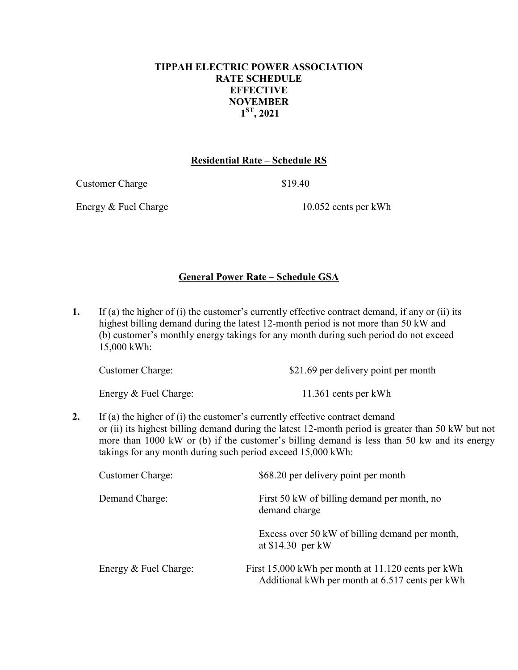## **TIPPAH ELECTRIC POWER ASSOCIATION RATE SCHEDULE EFFECTIVE NOVEMBER 1ST, 2021**

## **Residential Rate – Schedule RS**

Customer Charge \$19.40

Energy & Fuel Charge 10.052 cents per kWh

# **General Power Rate – Schedule GSA**

**1.** If (a) the higher of (i) the customer's currently effective contract demand, if any or (ii) its highest billing demand during the latest 12-month period is not more than 50 kW and (b) customer's monthly energy takings for any month during such period do not exceed 15,000 kWh:

| <b>Customer Charge:</b> | \$21.69 per delivery point per month |  |  |
|-------------------------|--------------------------------------|--|--|
|                         |                                      |  |  |

Energy & Fuel Charge: 11.361 cents per kWh

**2.** If (a) the higher of (i) the customer's currently effective contract demand or (ii) its highest billing demand during the latest 12-month period is greater than 50 kW but not more than 1000 kW or (b) if the customer's billing demand is less than 50 kw and its energy takings for any month during such period exceed 15,000 kWh:

| <b>Customer Charge:</b> | \$68.20 per delivery point per month                                                                  |
|-------------------------|-------------------------------------------------------------------------------------------------------|
| Demand Charge:          | First 50 kW of billing demand per month, no<br>demand charge                                          |
|                         | Excess over 50 kW of billing demand per month,<br>at $$14.30$ per kW                                  |
| Energy & Fuel Charge:   | First 15,000 kWh per month at 11.120 cents per kWh<br>Additional kWh per month at 6.517 cents per kWh |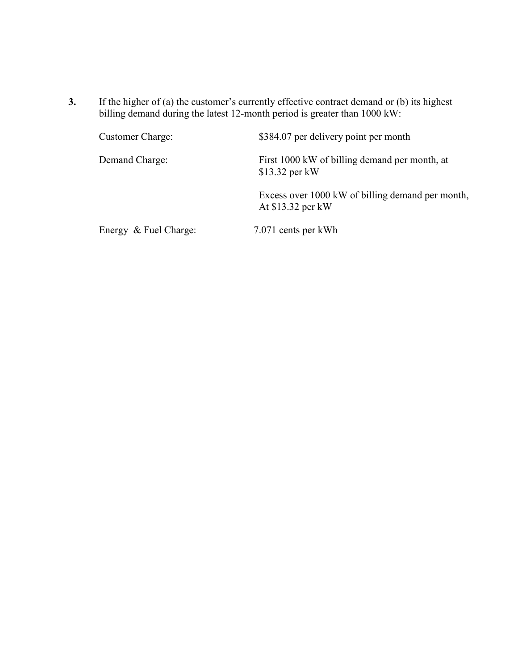**3.** If the higher of (a) the customer's currently effective contract demand or (b) its highest billing demand during the latest 12-month period is greater than 1000 kW:

| <b>Customer Charge:</b> | \$384.07 per delivery point per month                                 |
|-------------------------|-----------------------------------------------------------------------|
| Demand Charge:          | First 1000 kW of billing demand per month, at<br>$$13.32$ per kW      |
|                         | Excess over 1000 kW of billing demand per month,<br>At \$13.32 per kW |
| Energy & Fuel Charge:   | 7.071 cents per kWh                                                   |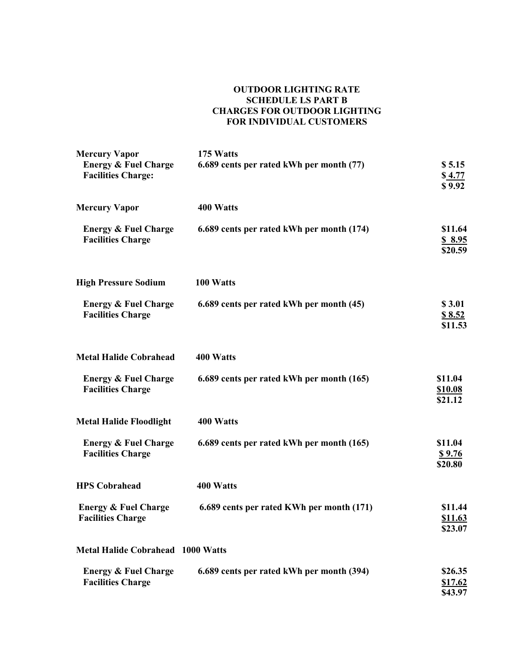#### **OUTDOOR LIGHTING RATE SCHEDULE LS PART B CHARGES FOR OUTDOOR LIGHTING FOR INDIVIDUAL CUSTOMERS**

| <b>Mercury Vapor</b>                                         | 175 Watts                                 |                                      |
|--------------------------------------------------------------|-------------------------------------------|--------------------------------------|
| <b>Energy &amp; Fuel Charge</b><br><b>Facilities Charge:</b> | 6.689 cents per rated kWh per month (77)  | \$5.15<br>\$4.77<br>\$9.92           |
| <b>Mercury Vapor</b>                                         | 400 Watts                                 |                                      |
| <b>Energy &amp; Fuel Charge</b><br><b>Facilities Charge</b>  | 6.689 cents per rated kWh per month (174) | \$11.64<br>\$8.95<br>\$20.59         |
| <b>High Pressure Sodium</b>                                  | 100 Watts                                 |                                      |
| <b>Energy &amp; Fuel Charge</b><br><b>Facilities Charge</b>  | 6.689 cents per rated kWh per month (45)  | \$3.01<br>\$8.52<br>\$11.53          |
| <b>Metal Halide Cobrahead</b>                                | 400 Watts                                 |                                      |
| <b>Energy &amp; Fuel Charge</b><br><b>Facilities Charge</b>  | 6.689 cents per rated kWh per month (165) | \$11.04<br><b>\$10.08</b><br>\$21.12 |
| <b>Metal Halide Floodlight</b>                               | 400 Watts                                 |                                      |
| <b>Energy &amp; Fuel Charge</b><br><b>Facilities Charge</b>  | 6.689 cents per rated kWh per month (165) | \$11.04<br><u>\$9.76</u><br>\$20.80  |
| <b>HPS Cobrahead</b>                                         | 400 Watts                                 |                                      |
| <b>Energy &amp; Fuel Charge</b><br><b>Facilities Charge</b>  | 6.689 cents per rated KWh per month (171) | \$11.44<br>\$11.63<br>\$23.07        |
| <b>Metal Halide Cobrahead 1000 Watts</b>                     |                                           |                                      |
| <b>Energy &amp; Fuel Charge</b><br><b>Facilities Charge</b>  | 6.689 cents per rated kWh per month (394) | \$26.35<br><u>\$17.62</u><br>\$43.97 |